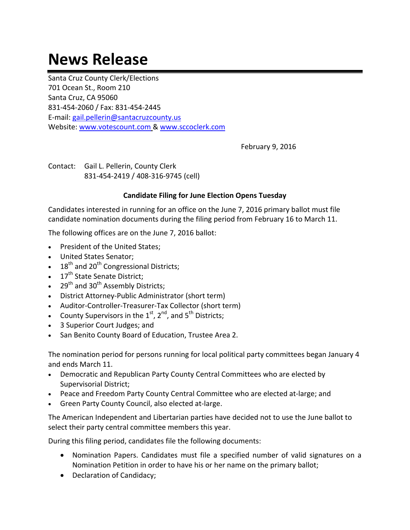## **News Release**

Santa Cruz County Clerk/Elections 701 Ocean St., Room 210 Santa Cruz, CA 95060 831‐454‐2060 / Fax: 831‐454‐2445 E‐mail: gail.pellerin@santacruzcounty.us Website: www.votescount.com & www.sccoclerk.com

February 9, 2016

Contact: Gail L. Pellerin, County Clerk 831‐454‐2419 / 408‐316‐9745 (cell)

## **Candidate Filing for June Election Opens Tuesday**

Candidates interested in running for an office on the June 7, 2016 primary ballot must file candidate nomination documents during the filing period from February 16 to March 11.

The following offices are on the June 7, 2016 ballot:

- President of the United States;
- United States Senator;
- $\cdot$  18<sup>th</sup> and 20<sup>th</sup> Congressional Districts;
- $\bullet$  17<sup>th</sup> State Senate District;
- $\bullet$  29<sup>th</sup> and 30<sup>th</sup> Assembly Districts;
- District Attorney-Public Administrator (short term)
- Auditor-Controller-Treasurer-Tax Collector (short term)
- County Supervisors in the  $1<sup>st</sup>$ ,  $2<sup>nd</sup>$ , and  $5<sup>th</sup>$  Districts;
- 3 Superior Court Judges; and
- San Benito County Board of Education, Trustee Area 2.

The nomination period for persons running for local political party committees began January 4 and ends March 11.

- Democratic and Republican Party County Central Committees who are elected by Supervisorial District;
- Peace and Freedom Party County Central Committee who are elected at-large; and
- Green Party County Council, also elected at-large.

The American Independent and Libertarian parties have decided not to use the June ballot to select their party central committee members this year.

During this filing period, candidates file the following documents:

- Nomination Papers. Candidates must file a specified number of valid signatures on a Nomination Petition in order to have his or her name on the primary ballot;
- Declaration of Candidacy;